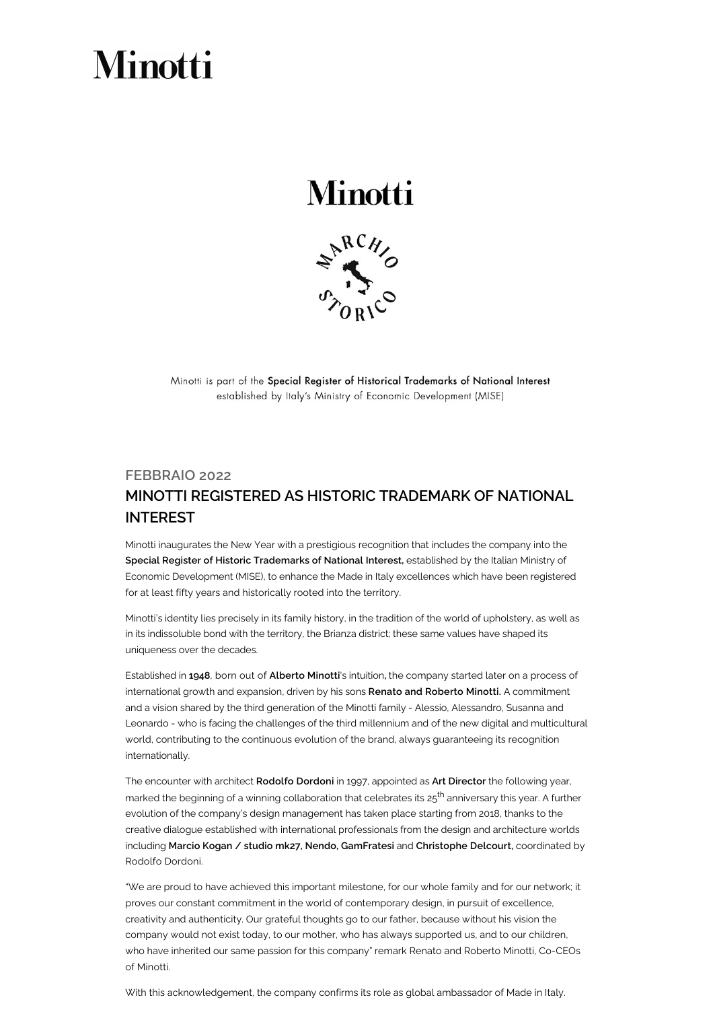## **Minotti**

## **Minotti**



Minotti is part of the Special Register of Historical Trademarks of National Interest established by Italy's Ministry of Economic Development (MISE)

## FEBBRAIO 2022 MINOTTI REGISTERED AS HISTORIC TRADEMARK OF NATIONAL INTEREST

Minotti inaugurates the New Year with a prestigious recognition that includes the company into the Special Register of Historic Trademarks of National Interest, established by the Italian Ministry of Economic Development (MISE), to enhance the Made in Italy excellences which have been registered for at least fifty years and historically rooted into the territory.

Minotti's identity lies precisely in its family history, in the tradition of the world of upholstery, as well as in its indissoluble bond with the territory, the Brianza district; these same values have shaped its uniqueness over the decades.

Established in 1948, born out of Alberto Minotti's intuition, the company started later on a process of international growth and expansion, driven by his sons Renato and Roberto Minotti. A commitment and a vision shared by the third generation of the Minotti family - Alessio, Alessandro, Susanna and Leonardo - who is facing the challenges of the third millennium and of the new digital and multicultural world, contributing to the continuous evolution of the brand, always guaranteeing its recognition internationally.

The encounter with architect Rodolfo Dordoni in 1997, appointed as Art Director the following year, marked the beginning of a winning collaboration that celebrates its 25<sup>th</sup> anniversary this year. A further evolution of the company's design management has taken place starting from 2018, thanks to the creative dialogue established with international professionals from the design and architecture worlds including Marcio Kogan / studio mk27, Nendo, GamFratesi and Christophe Delcourt, coordinated by Rodolfo Dordoni.

"We are proud to have achieved this important milestone, for our whole family and for our network; it proves our constant commitment in the world of contemporary design, in pursuit of excellence, creativity and authenticity. Our grateful thoughts go to our father, because without his vision the company would not exist today, to our mother, who has always supported us, and to our children, who have inherited our same passion for this company" remark Renato and Roberto Minotti, Co-CEOs of Minotti.

With this acknowledgement, the company confirms its role as global ambassador of Made in Italy.